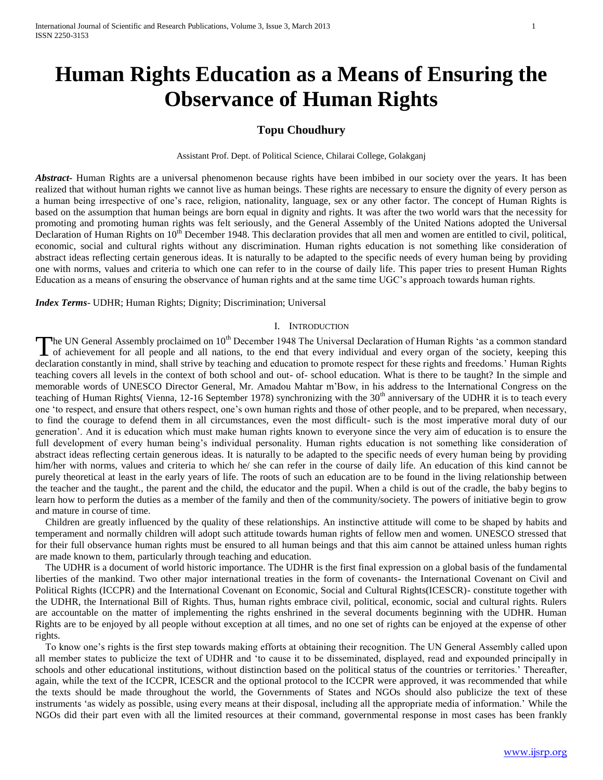# **Human Rights Education as a Means of Ensuring the Observance of Human Rights**

# **Topu Choudhury**

Assistant Prof. Dept. of Political Science, Chilarai College, Golakganj

*Abstract***-** Human Rights are a universal phenomenon because rights have been imbibed in our society over the years. It has been realized that without human rights we cannot live as human beings. These rights are necessary to ensure the dignity of every person as a human being irrespective of one's race, religion, nationality, language, sex or any other factor. The concept of Human Rights is based on the assumption that human beings are born equal in dignity and rights. It was after the two world wars that the necessity for promoting and promoting human rights was felt seriously, and the General Assembly of the United Nations adopted the Universal Declaration of Human Rights on 10<sup>th</sup> December 1948. This declaration provides that all men and women are entitled to civil, political, economic, social and cultural rights without any discrimination. Human rights education is not something like consideration of abstract ideas reflecting certain generous ideas. It is naturally to be adapted to the specific needs of every human being by providing one with norms, values and criteria to which one can refer to in the course of daily life. This paper tries to present Human Rights Education as a means of ensuring the observance of human rights and at the same time UGC's approach towards human rights.

*Index Terms*- UDHR; Human Rights; Dignity; Discrimination; Universal

### I. INTRODUCTION

The UN General Assembly proclaimed on  $10^{th}$  December 1948 The Universal Declaration of Human Rights 'as a common standard The UN General Assembly proclaimed on 10<sup>th</sup> December 1948 The Universal Declaration of Human Rights 'as a common standard of achievement for all people and all nations, to the end that every individual and every organ of declaration constantly in mind, shall strive by teaching and education to promote respect for these rights and freedoms.' Human Rights teaching covers all levels in the context of both school and out- of- school education. What is there to be taught? In the simple and memorable words of UNESCO Director General, Mr. Amadou Mahtar m'Bow, in his address to the International Congress on the teaching of Human Rights( Vienna, 12-16 September 1978) synchronizing with the 30<sup>th</sup> anniversary of the UDHR it is to teach every one 'to respect, and ensure that others respect, one's own human rights and those of other people, and to be prepared, when necessary, to find the courage to defend them in all circumstances, even the most difficult- such is the most imperative moral duty of our generation'. And it is education which must make human rights known to everyone since the very aim of education is to ensure the full development of every human being's individual personality. Human rights education is not something like consideration of abstract ideas reflecting certain generous ideas. It is naturally to be adapted to the specific needs of every human being by providing him/her with norms, values and criteria to which he/ she can refer in the course of daily life. An education of this kind cannot be purely theoretical at least in the early years of life. The roots of such an education are to be found in the living relationship between the teacher and the taught., the parent and the child, the educator and the pupil. When a child is out of the cradle, the baby begins to learn how to perform the duties as a member of the family and then of the community/society. The powers of initiative begin to grow and mature in course of time.

 Children are greatly influenced by the quality of these relationships. An instinctive attitude will come to be shaped by habits and temperament and normally children will adopt such attitude towards human rights of fellow men and women. UNESCO stressed that for their full observance human rights must be ensured to all human beings and that this aim cannot be attained unless human rights are made known to them, particularly through teaching and education.

 The UDHR is a document of world historic importance. The UDHR is the first final expression on a global basis of the fundamental liberties of the mankind. Two other major international treaties in the form of covenants- the International Covenant on Civil and Political Rights (ICCPR) and the International Covenant on Economic, Social and Cultural Rights(ICESCR)- constitute together with the UDHR, the International Bill of Rights. Thus, human rights embrace civil, political, economic, social and cultural rights. Rulers are accountable on the matter of implementing the rights enshrined in the several documents beginning with the UDHR. Human Rights are to be enjoyed by all people without exception at all times, and no one set of rights can be enjoyed at the expense of other rights.

 To know one's rights is the first step towards making efforts at obtaining their recognition. The UN General Assembly called upon all member states to publicize the text of UDHR and 'to cause it to be disseminated, displayed, read and expounded principally in schools and other educational institutions, without distinction based on the political status of the countries or territories.' Thereafter, again, while the text of the ICCPR, ICESCR and the optional protocol to the ICCPR were approved, it was recommended that while the texts should be made throughout the world, the Governments of States and NGOs should also publicize the text of these instruments 'as widely as possible, using every means at their disposal, including all the appropriate media of information.' While the NGOs did their part even with all the limited resources at their command, governmental response in most cases has been frankly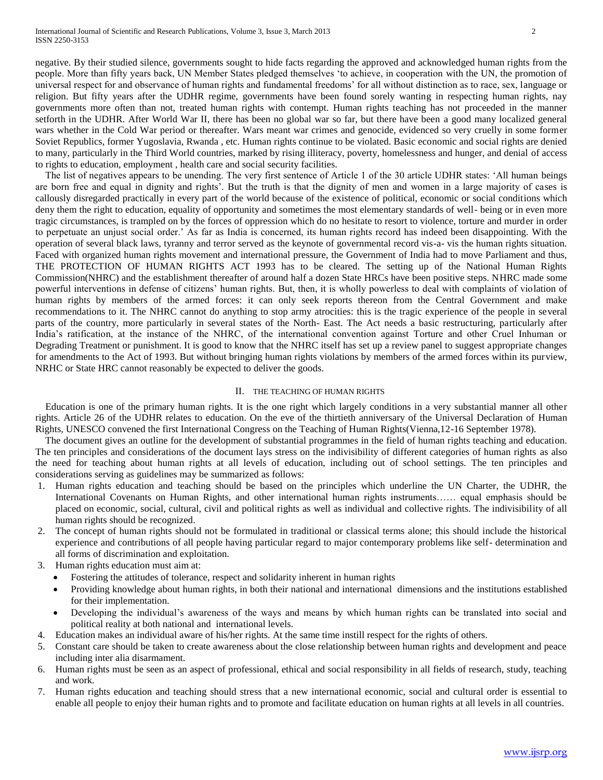negative. By their studied silence, governments sought to hide facts regarding the approved and acknowledged human rights from the people. More than fifty years back, UN Member States pledged themselves 'to achieve, in cooperation with the UN, the promotion of universal respect for and observance of human rights and fundamental freedoms' for all without distinction as to race, sex, language or religion. But fifty years after the UDHR regime, governments have been found sorely wanting in respecting human rights, nay governments more often than not, treated human rights with contempt. Human rights teaching has not proceeded in the manner setforth in the UDHR. After World War II, there has been no global war so far, but there have been a good many localized general wars whether in the Cold War period or thereafter. Wars meant war crimes and genocide, evidenced so very cruelly in some former Soviet Republics, former Yugoslavia, Rwanda , etc. Human rights continue to be violated. Basic economic and social rights are denied to many, particularly in the Third World countries, marked by rising illiteracy, poverty, homelessness and hunger, and denial of access to rights to education, employment , health care and social security facilities.

 The list of negatives appears to be unending. The very first sentence of Article 1 of the 30 article UDHR states: 'All human beings are born free and equal in dignity and rights'. But the truth is that the dignity of men and women in a large majority of cases is callously disregarded practically in every part of the world because of the existence of political, economic or social conditions which deny them the right to education, equality of opportunity and sometimes the most elementary standards of well- being or in even more tragic circumstances, is trampled on by the forces of oppression which do no hesitate to resort to violence, torture and murder in order to perpetuate an unjust social order.' As far as India is concerned, its human rights record has indeed been disappointing. With the operation of several black laws, tyranny and terror served as the keynote of governmental record vis-a- vis the human rights situation. Faced with organized human rights movement and international pressure, the Government of India had to move Parliament and thus, THE PROTECTION OF HUMAN RIGHTS ACT 1993 has to be cleared. The setting up of the National Human Rights Commission(NHRC) and the establishment thereafter of around half a dozen State HRCs have been positive steps. NHRC made some powerful interventions in defense of citizens' human rights. But, then, it is wholly powerless to deal with complaints of violation of human rights by members of the armed forces: it can only seek reports thereon from the Central Government and make recommendations to it. The NHRC cannot do anything to stop army atrocities: this is the tragic experience of the people in several parts of the country, more particularly in several states of the North- East. The Act needs a basic restructuring, particularly after India's ratification, at the instance of the NHRC, of the international convention against Torture and other Cruel Inhuman or Degrading Treatment or punishment. It is good to know that the NHRC itself has set up a review panel to suggest appropriate changes for amendments to the Act of 1993. But without bringing human rights violations by members of the armed forces within its purview, NRHC or State HRC cannot reasonably be expected to deliver the goods.

## II. THE TEACHING OF HUMAN RIGHTS

 Education is one of the primary human rights. It is the one right which largely conditions in a very substantial manner all other rights. Article 26 of the UDHR relates to education. On the eve of the thirtieth anniversary of the Universal Declaration of Human Rights, UNESCO convened the first International Congress on the Teaching of Human Rights(Vienna,12-16 September 1978).

 The document gives an outline for the development of substantial programmes in the field of human rights teaching and education. The ten principles and considerations of the document lays stress on the indivisibility of different categories of human rights as also the need for teaching about human rights at all levels of education, including out of school settings. The ten principles and considerations serving as guidelines may be summarized as follows:

- 1. Human rights education and teaching should be based on the principles which underline the UN Charter, the UDHR, the International Covenants on Human Rights, and other international human rights instruments…… equal emphasis should be placed on economic, social, cultural, civil and political rights as well as individual and collective rights. The indivisibility of all human rights should be recognized.
- 2. The concept of human rights should not be formulated in traditional or classical terms alone; this should include the historical experience and contributions of all people having particular regard to major contemporary problems like self- determination and all forms of discrimination and exploitation.
- 3. Human rights education must aim at:
	- Fostering the attitudes of tolerance, respect and solidarity inherent in human rights
	- Providing knowledge about human rights, in both their national and international dimensions and the institutions established for their implementation.
	- Developing the individual's awareness of the ways and means by which human rights can be translated into social and political reality at both national and international levels.
- 4. Education makes an individual aware of his/her rights. At the same time instill respect for the rights of others.
- 5. Constant care should be taken to create awareness about the close relationship between human rights and development and peace including inter alia disarmament.
- 6. Human rights must be seen as an aspect of professional, ethical and social responsibility in all fields of research, study, teaching and work.
- 7. Human rights education and teaching should stress that a new international economic, social and cultural order is essential to enable all people to enjoy their human rights and to promote and facilitate education on human rights at all levels in all countries.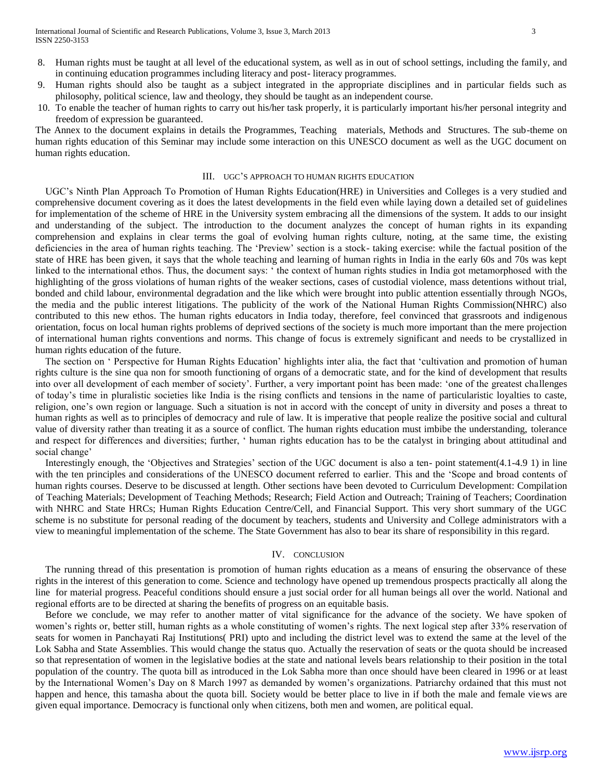- 8. Human rights must be taught at all level of the educational system, as well as in out of school settings, including the family, and in continuing education programmes including literacy and post- literacy programmes.
- 9. Human rights should also be taught as a subject integrated in the appropriate disciplines and in particular fields such as philosophy, political science, law and theology, they should be taught as an independent course.
- 10. To enable the teacher of human rights to carry out his/her task properly, it is particularly important his/her personal integrity and freedom of expression be guaranteed.

The Annex to the document explains in details the Programmes, Teaching materials, Methods and Structures. The sub-theme on human rights education of this Seminar may include some interaction on this UNESCO document as well as the UGC document on human rights education.

#### III. UGC'S APPROACH TO HUMAN RIGHTS EDUCATION

 UGC's Ninth Plan Approach To Promotion of Human Rights Education(HRE) in Universities and Colleges is a very studied and comprehensive document covering as it does the latest developments in the field even while laying down a detailed set of guidelines for implementation of the scheme of HRE in the University system embracing all the dimensions of the system. It adds to our insight and understanding of the subject. The introduction to the document analyzes the concept of human rights in its expanding comprehension and explains in clear terms the goal of evolving human rights culture, noting, at the same time, the existing deficiencies in the area of human rights teaching. The 'Preview' section is a stock- taking exercise: while the factual position of the state of HRE has been given, it says that the whole teaching and learning of human rights in India in the early 60s and 70s was kept linked to the international ethos. Thus, the document says: ' the context of human rights studies in India got metamorphosed with the highlighting of the gross violations of human rights of the weaker sections, cases of custodial violence, mass detentions without trial, bonded and child labour, environmental degradation and the like which were brought into public attention essentially through NGOs, the media and the public interest litigations. The publicity of the work of the National Human Rights Commission(NHRC) also contributed to this new ethos. The human rights educators in India today, therefore, feel convinced that grassroots and indigenous orientation, focus on local human rights problems of deprived sections of the society is much more important than the mere projection of international human rights conventions and norms. This change of focus is extremely significant and needs to be crystallized in human rights education of the future.

 The section on ' Perspective for Human Rights Education' highlights inter alia, the fact that 'cultivation and promotion of human rights culture is the sine qua non for smooth functioning of organs of a democratic state, and for the kind of development that results into over all development of each member of society'. Further, a very important point has been made: 'one of the greatest challenges of today's time in pluralistic societies like India is the rising conflicts and tensions in the name of particularistic loyalties to caste, religion, one's own region or language. Such a situation is not in accord with the concept of unity in diversity and poses a threat to human rights as well as to principles of democracy and rule of law. It is imperative that people realize the positive social and cultural value of diversity rather than treating it as a source of conflict. The human rights education must imbibe the understanding, tolerance and respect for differences and diversities; further, ' human rights education has to be the catalyst in bringing about attitudinal and social change'

 Interestingly enough, the 'Objectives and Strategies' section of the UGC document is also a ten- point statement(4.1-4.9 1) in line with the ten principles and considerations of the UNESCO document referred to earlier. This and the 'Scope and broad contents of human rights courses. Deserve to be discussed at length. Other sections have been devoted to Curriculum Development: Compilation of Teaching Materials; Development of Teaching Methods; Research; Field Action and Outreach; Training of Teachers; Coordination with NHRC and State HRCs; Human Rights Education Centre/Cell, and Financial Support. This very short summary of the UGC scheme is no substitute for personal reading of the document by teachers, students and University and College administrators with a view to meaningful implementation of the scheme. The State Government has also to bear its share of responsibility in this regard.

#### IV. CONCLUSION

 The running thread of this presentation is promotion of human rights education as a means of ensuring the observance of these rights in the interest of this generation to come. Science and technology have opened up tremendous prospects practically all along the line for material progress. Peaceful conditions should ensure a just social order for all human beings all over the world. National and regional efforts are to be directed at sharing the benefits of progress on an equitable basis.

 Before we conclude, we may refer to another matter of vital significance for the advance of the society. We have spoken of women's rights or, better still, human rights as a whole constituting of women's rights. The next logical step after 33% reservation of seats for women in Panchayati Raj Institutions( PRI) upto and including the district level was to extend the same at the level of the Lok Sabha and State Assemblies. This would change the status quo. Actually the reservation of seats or the quota should be increased so that representation of women in the legislative bodies at the state and national levels bears relationship to their position in the total population of the country. The quota bill as introduced in the Lok Sabha more than once should have been cleared in 1996 or at least by the International Women's Day on 8 March 1997 as demanded by women's organizations. Patriarchy ordained that this must not happen and hence, this tamasha about the quota bill. Society would be better place to live in if both the male and female views are given equal importance. Democracy is functional only when citizens, both men and women, are political equal.